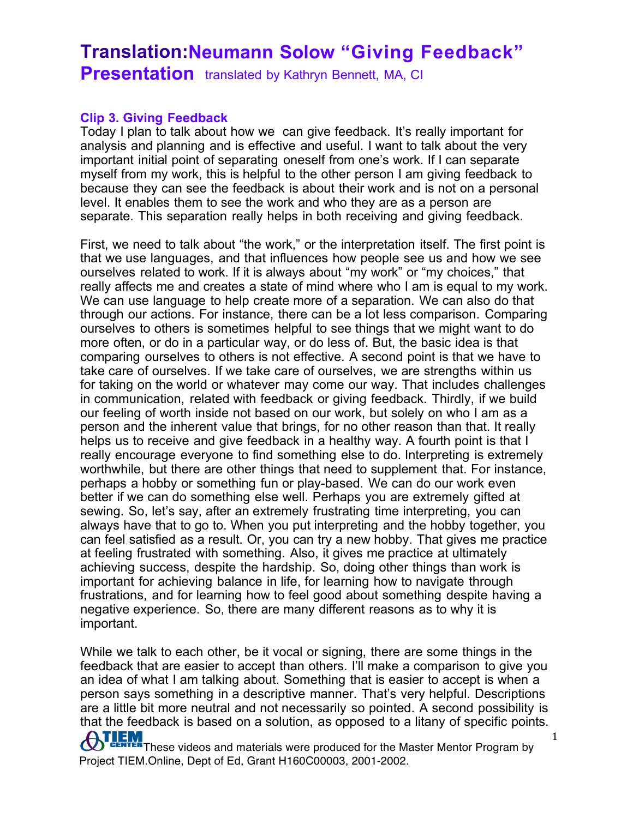#### **Clip 3. Giving Feedback**

Today I plan to talk about how we can give feedback. It's really important for analysis and planning and is effective and useful. I want to talk about the very important initial point of separating oneself from one's work. If I can separate myself from my work, this is helpful to the other person I am giving feedback to because they can see the feedback is about their work and is not on a personal level. It enables them to see the work and who they are as a person are separate. This separation really helps in both receiving and giving feedback.

First, we need to talk about "the work," or the interpretation itself. The first point is that we use languages, and that influences how people see us and how we see ourselves related to work. If it is always about "my work" or "my choices," that really affects me and creates a state of mind where who I am is equal to my work. We can use language to help create more of a separation. We can also do that through our actions. For instance, there can be a lot less comparison. Comparing ourselves to others is sometimes helpful to see things that we might want to do more often, or do in a particular way, or do less of. But, the basic idea is that comparing ourselves to others is not effective. A second point is that we have to take care of ourselves. If we take care of ourselves, we are strengths within us for taking on the world or whatever may come our way. That includes challenges in communication, related with feedback or giving feedback. Thirdly, if we build our feeling of worth inside not based on our work, but solely on who I am as a person and the inherent value that brings, for no other reason than that. It really helps us to receive and give feedback in a healthy way. A fourth point is that I really encourage everyone to find something else to do. Interpreting is extremely worthwhile, but there are other things that need to supplement that. For instance, perhaps a hobby or something fun or play-based. We can do our work even better if we can do something else well. Perhaps you are extremely gifted at sewing. So, let's say, after an extremely frustrating time interpreting, you can always have that to go to. When you put interpreting and the hobby together, you can feel satisfied as a result. Or, you can try a new hobby. That gives me practice at feeling frustrated with something. Also, it gives me practice at ultimately achieving success, despite the hardship. So, doing other things than work is important for achieving balance in life, for learning how to navigate through frustrations, and for learning how to feel good about something despite having a negative experience. So, there are many different reasons as to why it is important.

**ATLEM** These videos and materials were produced for the Master Mentor Program by While we talk to each other, be it vocal or signing, there are some things in the feedback that are easier to accept than others. I'll make a comparison to give you an idea of what I am talking about. Something that is easier to accept is when a person says something in a descriptive manner. That's very helpful. Descriptions are a little bit more neutral and not necessarily so pointed. A second possibility is that the feedback is based on a solution, as opposed to a litany of specific points.

Project TIEM.Online, Dept of Ed, Grant H160C00003, 2001-2002.

1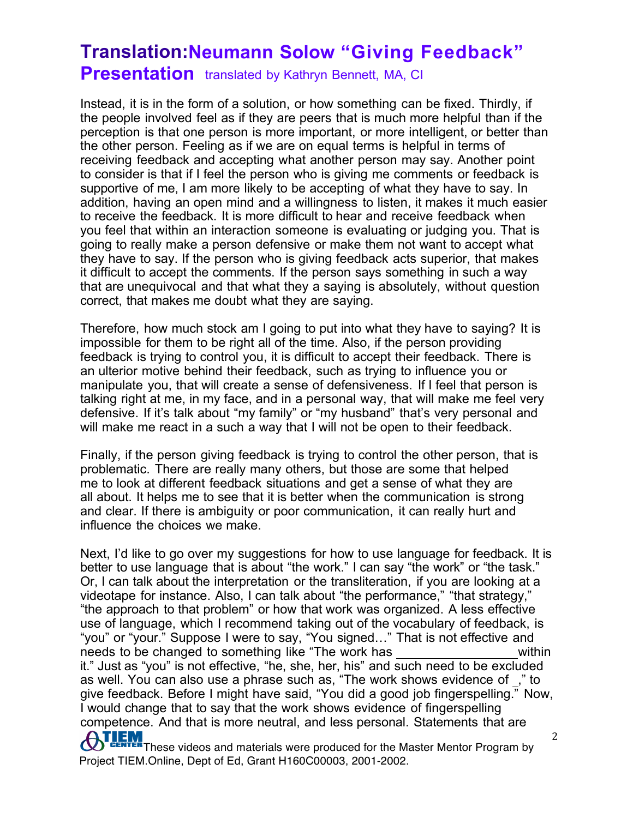Instead, it is in the form of a solution, or how something can be fixed. Thirdly, if the people involved feel as if they are peers that is much more helpful than if the perception is that one person is more important, or more intelligent, or better than the other person. Feeling as if we are on equal terms is helpful in terms of receiving feedback and accepting what another person may say. Another point to consider is that if I feel the person who is giving me comments or feedback is supportive of me, I am more likely to be accepting of what they have to say. In addition, having an open mind and a willingness to listen, it makes it much easier to receive the feedback. It is more difficult to hear and receive feedback when you feel that within an interaction someone is evaluating or judging you. That is going to really make a person defensive or make them not want to accept what they have to say. If the person who is giving feedback acts superior, that makes it difficult to accept the comments. If the person says something in such a way that are unequivocal and that what they a saying is absolutely, without question correct, that makes me doubt what they are saying.

Therefore, how much stock am I going to put into what they have to saying? It is impossible for them to be right all of the time. Also, if the person providing feedback is trying to control you, it is difficult to accept their feedback. There is an ulterior motive behind their feedback, such as trying to influence you or manipulate you, that will create a sense of defensiveness. If I feel that person is talking right at me, in my face, and in a personal way, that will make me feel very defensive. If it's talk about "my family" or "my husband" that's very personal and will make me react in a such a way that I will not be open to their feedback.

Finally, if the person giving feedback is trying to control the other person, that is problematic. There are really many others, but those are some that helped me to look at different feedback situations and get a sense of what they are all about. It helps me to see that it is better when the communication is strong and clear. If there is ambiguity or poor communication, it can really hurt and influence the choices we make.

**ATLEM** These videos and materials were produced for the Master Mentor Program by Next, I'd like to go over my suggestions for how to use language for feedback. It is better to use language that is about "the work." I can say "the work" or "the task." Or, I can talk about the interpretation or the transliteration, if you are looking at a videotape for instance. Also, I can talk about "the performance," "that strategy," "the approach to that problem" or how that work was organized. A less effective use of language, which I recommend taking out of the vocabulary of feedback, is "you" or "your." Suppose I were to say, "You signed…" That is not effective and needs to be changed to something like "The work has within it." Just as "you" is not effective, "he, she, her, his" and such need to be excluded as well. You can also use a phrase such as, "The work shows evidence of ," to give feedback. Before I might have said, "You did a good job fingerspelling." Now, I would change that to say that the work shows evidence of fingerspelling competence. And that is more neutral, and less personal. Statements that are

Project TIEM.Online, Dept of Ed, Grant H160C00003, 2001-2002.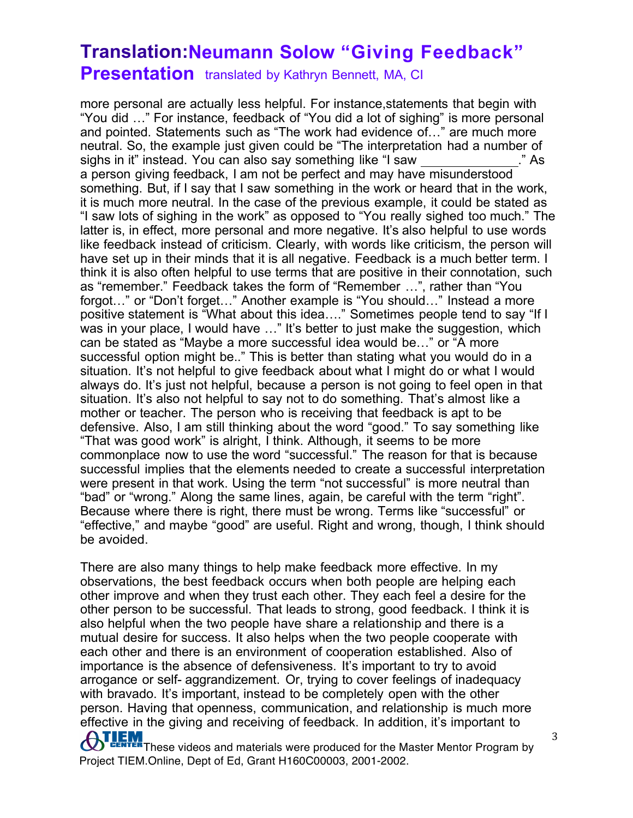## **Translation:Neumann Solow "Giving Feedback"**

**Presentation** translated by Kathryn Bennett, MA, CI

more personal are actually less helpful. For instance,statements that begin with "You did …" For instance, feedback of "You did a lot of sighing" is more personal and pointed. Statements such as "The work had evidence of…" are much more neutral. So, the example just given could be "The interpretation had a number of sighs in it" instead. You can also say something like "I saw ." As a person giving feedback, I am not be perfect and may have misunderstood something. But, if I say that I saw something in the work or heard that in the work, it is much more neutral. In the case of the previous example, it could be stated as "I saw lots of sighing in the work" as opposed to "You really sighed too much." The latter is, in effect, more personal and more negative. It's also helpful to use words like feedback instead of criticism. Clearly, with words like criticism, the person will have set up in their minds that it is all negative. Feedback is a much better term. I think it is also often helpful to use terms that are positive in their connotation, such as "remember." Feedback takes the form of "Remember …", rather than "You forgot…" or "Don't forget…" Another example is "You should…" Instead a more positive statement is "What about this idea…." Sometimes people tend to say "If I was in your place, I would have ..." It's better to just make the suggestion, which can be stated as "Maybe a more successful idea would be…" or "A more successful option might be.." This is better than stating what you would do in a situation. It's not helpful to give feedback about what I might do or what I would always do. It's just not helpful, because a person is not going to feel open in that situation. It's also not helpful to say not to do something. That's almost like a mother or teacher. The person who is receiving that feedback is apt to be defensive. Also, I am still thinking about the word "good." To say something like "That was good work" is alright, I think. Although, it seems to be more commonplace now to use the word "successful." The reason for that is because successful implies that the elements needed to create a successful interpretation were present in that work. Using the term "not successful" is more neutral than "bad" or "wrong." Along the same lines, again, be careful with the term "right". Because where there is right, there must be wrong. Terms like "successful" or "effective," and maybe "good" are useful. Right and wrong, though, I think should be avoided.

There are also many things to help make feedback more effective. In my observations, the best feedback occurs when both people are helping each other improve and when they trust each other. They each feel a desire for the other person to be successful. That leads to strong, good feedback. I think it is also helpful when the two people have share a relationship and there is a mutual desire for success. It also helps when the two people cooperate with each other and there is an environment of cooperation established. Also of importance is the absence of defensiveness. It's important to try to avoid arrogance or self- aggrandizement. Or, trying to cover feelings of inadequacy with bravado. It's important, instead to be completely open with the other person. Having that openness, communication, and relationship is much more effective in the giving and receiving of feedback. In addition, it's important to

**ATLEM** These videos and materials were produced for the Master Mentor Program by Project TIEM.Online, Dept of Ed, Grant H160C00003, 2001-2002.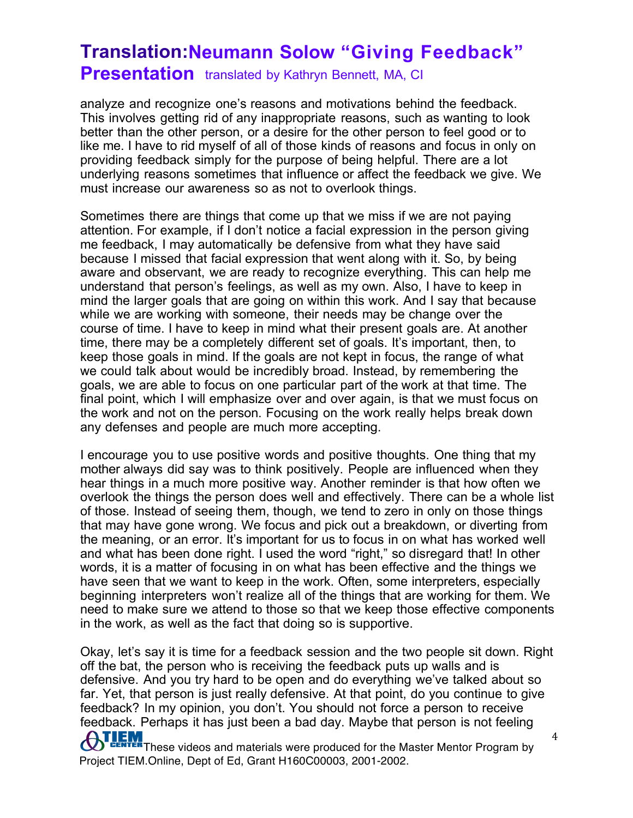analyze and recognize one's reasons and motivations behind the feedback. This involves getting rid of any inappropriate reasons, such as wanting to look better than the other person, or a desire for the other person to feel good or to like me. I have to rid myself of all of those kinds of reasons and focus in only on providing feedback simply for the purpose of being helpful. There are a lot underlying reasons sometimes that influence or affect the feedback we give. We must increase our awareness so as not to overlook things.

Sometimes there are things that come up that we miss if we are not paying attention. For example, if I don't notice a facial expression in the person giving me feedback, I may automatically be defensive from what they have said because I missed that facial expression that went along with it. So, by being aware and observant, we are ready to recognize everything. This can help me understand that person's feelings, as well as my own. Also, I have to keep in mind the larger goals that are going on within this work. And I say that because while we are working with someone, their needs may be change over the course of time. I have to keep in mind what their present goals are. At another time, there may be a completely different set of goals. It's important, then, to keep those goals in mind. If the goals are not kept in focus, the range of what we could talk about would be incredibly broad. Instead, by remembering the goals, we are able to focus on one particular part of the work at that time. The final point, which I will emphasize over and over again, is that we must focus on the work and not on the person. Focusing on the work really helps break down any defenses and people are much more accepting.

I encourage you to use positive words and positive thoughts. One thing that my mother always did say was to think positively. People are influenced when they hear things in a much more positive way. Another reminder is that how often we overlook the things the person does well and effectively. There can be a whole list of those. Instead of seeing them, though, we tend to zero in only on those things that may have gone wrong. We focus and pick out a breakdown, or diverting from the meaning, or an error. It's important for us to focus in on what has worked well and what has been done right. I used the word "right," so disregard that! In other words, it is a matter of focusing in on what has been effective and the things we have seen that we want to keep in the work. Often, some interpreters, especially beginning interpreters won't realize all of the things that are working for them. We need to make sure we attend to those so that we keep those effective components in the work, as well as the fact that doing so is supportive.

**OTLEM**<br>These videos and materials were produced for the Master Mentor Program by Project TIEM.Online, Dept of Ed, Grant H160C00003, 2001-2002. 4 Okay, let's say it is time for a feedback session and the two people sit down. Right off the bat, the person who is receiving the feedback puts up walls and is defensive. And you try hard to be open and do everything we've talked about so far. Yet, that person is just really defensive. At that point, do you continue to give feedback? In my opinion, you don't. You should not force a person to receive feedback. Perhaps it has just been a bad day. Maybe that person is not feeling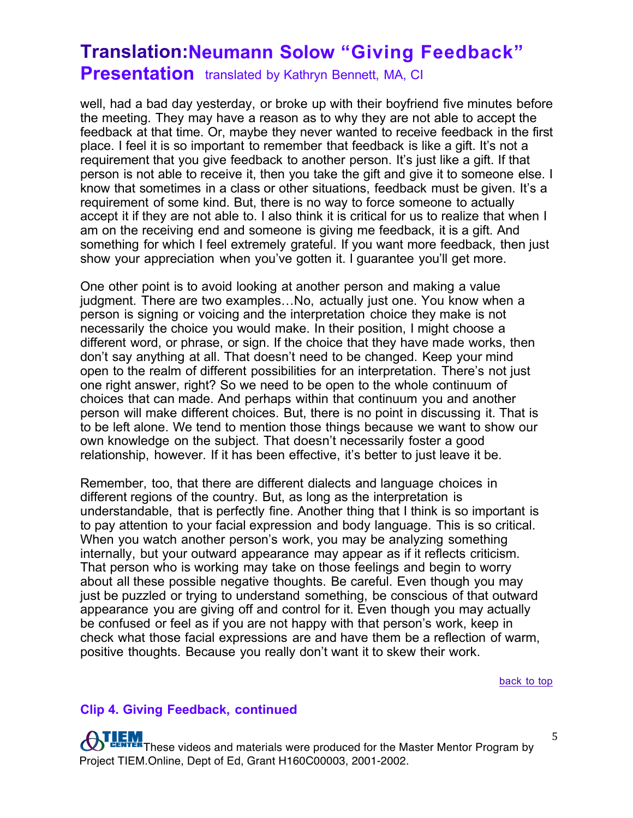well, had a bad day yesterday, or broke up with their boyfriend five minutes before the meeting. They may have a reason as to why they are not able to accept the feedback at that time. Or, maybe they never wanted to receive feedback in the first place. I feel it is so important to remember that feedback is like a gift. It's not a requirement that you give feedback to another person. It's just like a gift. If that person is not able to receive it, then you take the gift and give it to someone else. I know that sometimes in a class or other situations, feedback must be given. It's a requirement of some kind. But, there is no way to force someone to actually accept it if they are not able to. I also think it is critical for us to realize that when I am on the receiving end and someone is giving me feedback, it is a gift. And something for which I feel extremely grateful. If you want more feedback, then just show your appreciation when you've gotten it. I guarantee you'll get more.

One other point is to avoid looking at another person and making a value judgment. There are two examples…No, actually just one. You know when a person is signing or voicing and the interpretation choice they make is not necessarily the choice you would make. In their position, I might choose a different word, or phrase, or sign. If the choice that they have made works, then don't say anything at all. That doesn't need to be changed. Keep your mind open to the realm of different possibilities for an interpretation. There's not just one right answer, right? So we need to be open to the whole continuum of choices that can made. And perhaps within that continuum you and another person will make different choices. But, there is no point in discussing it. That is to be left alone. We tend to mention those things because we want to show our own knowledge on the subject. That doesn't necessarily foster a good relationship, however. If it has been effective, it's better to just leave it be.

Remember, too, that there are different dialects and language choices in different regions of the country. But, as long as the interpretation is understandable, that is perfectly fine. Another thing that I think is so important is to pay attention to your facial expression and body language. This is so critical. When you watch another person's work, you may be analyzing something internally, but your outward appearance may appear as if it reflects criticism. That person who is working may take on those feelings and begin to worry about all these possible negative thoughts. Be careful. Even though you may just be puzzled or trying to understand something, be conscious of that outward appearance you are giving off and control for it. Even though you may actually be confused or feel as if you are not happy with that person's work, keep in check what those facial expressions are and have them be a reflection of warm, positive thoughts. Because you really don't want it to skew their work.

back to top

#### **Clip 4. Giving Feedback, continued**

**TLEM**<br>These videos and materials were produced for the Master Mentor Program by Project TIEM.Online, Dept of Ed, Grant H160C00003, 2001-2002.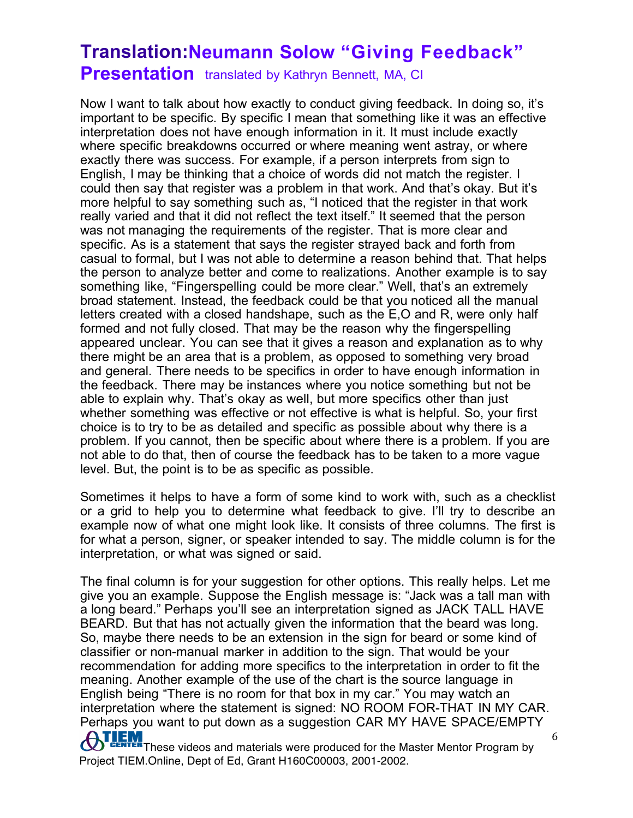Now I want to talk about how exactly to conduct giving feedback. In doing so, it's important to be specific. By specific I mean that something like it was an effective interpretation does not have enough information in it. It must include exactly where specific breakdowns occurred or where meaning went astray, or where exactly there was success. For example, if a person interprets from sign to English, I may be thinking that a choice of words did not match the register. I could then say that register was a problem in that work. And that's okay. But it's more helpful to say something such as, "I noticed that the register in that work really varied and that it did not reflect the text itself." It seemed that the person was not managing the requirements of the register. That is more clear and specific. As is a statement that says the register strayed back and forth from casual to formal, but I was not able to determine a reason behind that. That helps the person to analyze better and come to realizations. Another example is to say something like, "Fingerspelling could be more clear." Well, that's an extremely broad statement. Instead, the feedback could be that you noticed all the manual letters created with a closed handshape, such as the E,O and R, were only half formed and not fully closed. That may be the reason why the fingerspelling appeared unclear. You can see that it gives a reason and explanation as to why there might be an area that is a problem, as opposed to something very broad and general. There needs to be specifics in order to have enough information in the feedback. There may be instances where you notice something but not be able to explain why. That's okay as well, but more specifics other than just whether something was effective or not effective is what is helpful. So, your first choice is to try to be as detailed and specific as possible about why there is a problem. If you cannot, then be specific about where there is a problem. If you are not able to do that, then of course the feedback has to be taken to a more vague level. But, the point is to be as specific as possible.

Sometimes it helps to have a form of some kind to work with, such as a checklist or a grid to help you to determine what feedback to give. I'll try to describe an example now of what one might look like. It consists of three columns. The first is for what a person, signer, or speaker intended to say. The middle column is for the interpretation, or what was signed or said.

**ATLEM**<br>These videos and materials were produced for the Master Mentor Program by The final column is for your suggestion for other options. This really helps. Let me give you an example. Suppose the English message is: "Jack was a tall man with a long beard." Perhaps you'll see an interpretation signed as JACK TALL HAVE BEARD. But that has not actually given the information that the beard was long. So, maybe there needs to be an extension in the sign for beard or some kind of classifier or non-manual marker in addition to the sign. That would be your recommendation for adding more specifics to the interpretation in order to fit the meaning. Another example of the use of the chart is the source language in English being "There is no room for that box in my car." You may watch an interpretation where the statement is signed: NO ROOM FOR-THAT IN MY CAR. Perhaps you want to put down as a suggestion CAR MY HAVE SPACE/EMPTY

Project TIEM.Online, Dept of Ed, Grant H160C00003, 2001-2002.

<sup>6</sup>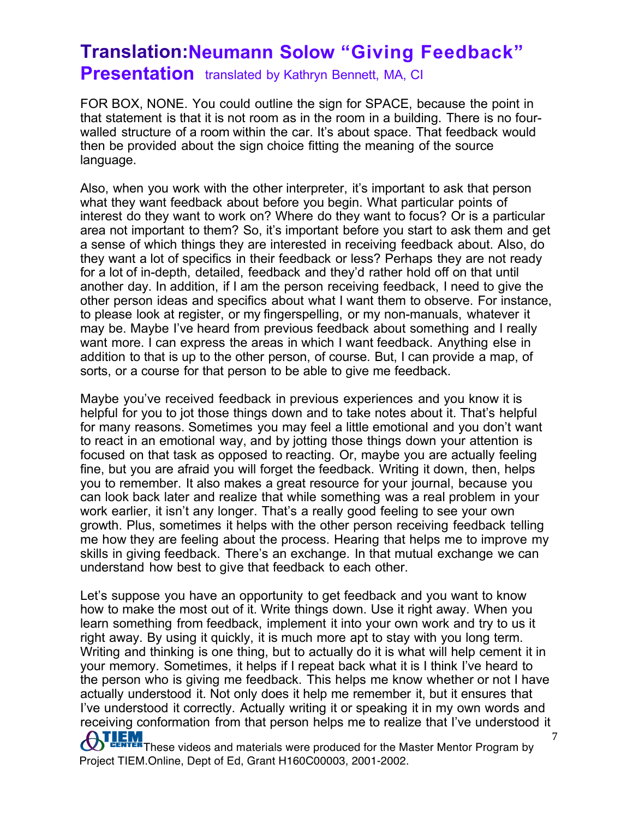FOR BOX, NONE. You could outline the sign for SPACE, because the point in that statement is that it is not room as in the room in a building. There is no fourwalled structure of a room within the car. It's about space. That feedback would then be provided about the sign choice fitting the meaning of the source language.

Also, when you work with the other interpreter, it's important to ask that person what they want feedback about before you begin. What particular points of interest do they want to work on? Where do they want to focus? Or is a particular area not important to them? So, it's important before you start to ask them and get a sense of which things they are interested in receiving feedback about. Also, do they want a lot of specifics in their feedback or less? Perhaps they are not ready for a lot of in-depth, detailed, feedback and they'd rather hold off on that until another day. In addition, if I am the person receiving feedback, I need to give the other person ideas and specifics about what I want them to observe. For instance, to please look at register, or my fingerspelling, or my non-manuals, whatever it may be. Maybe I've heard from previous feedback about something and I really want more. I can express the areas in which I want feedback. Anything else in addition to that is up to the other person, of course. But, I can provide a map, of sorts, or a course for that person to be able to give me feedback.

Maybe you've received feedback in previous experiences and you know it is helpful for you to jot those things down and to take notes about it. That's helpful for many reasons. Sometimes you may feel a little emotional and you don't want to react in an emotional way, and by jotting those things down your attention is focused on that task as opposed to reacting. Or, maybe you are actually feeling fine, but you are afraid you will forget the feedback. Writing it down, then, helps you to remember. It also makes a great resource for your journal, because you can look back later and realize that while something was a real problem in your work earlier, it isn't any longer. That's a really good feeling to see your own growth. Plus, sometimes it helps with the other person receiving feedback telling me how they are feeling about the process. Hearing that helps me to improve my skills in giving feedback. There's an exchange. In that mutual exchange we can understand how best to give that feedback to each other.

Let's suppose you have an opportunity to get feedback and you want to know how to make the most out of it. Write things down. Use it right away. When you learn something from feedback, implement it into your own work and try to us it right away. By using it quickly, it is much more apt to stay with you long term. Writing and thinking is one thing, but to actually do it is what will help cement it in your memory. Sometimes, it helps if I repeat back what it is I think I've heard to the person who is giving me feedback. This helps me know whether or not I have actually understood it. Not only does it help me remember it, but it ensures that I've understood it correctly. Actually writing it or speaking it in my own words and receiving conformation from that person helps me to realize that I've understood it

**ATLEM** These videos and materials were produced for the Master Mentor Program by Project TIEM.Online, Dept of Ed, Grant H160C00003, 2001-2002.

<sup>7</sup>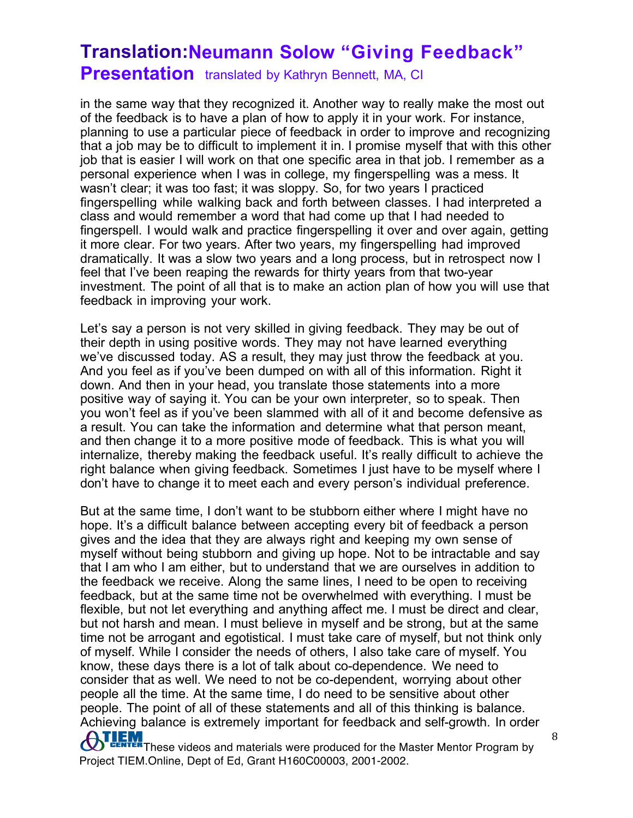# **Translation:Neumann Solow "Giving Feedback"**

**Presentation** translated by Kathryn Bennett, MA, CI

in the same way that they recognized it. Another way to really make the most out of the feedback is to have a plan of how to apply it in your work. For instance, planning to use a particular piece of feedback in order to improve and recognizing that a job may be to difficult to implement it in. I promise myself that with this other job that is easier I will work on that one specific area in that job. I remember as a personal experience when I was in college, my fingerspelling was a mess. It wasn't clear; it was too fast; it was sloppy. So, for two years I practiced fingerspelling while walking back and forth between classes. I had interpreted a class and would remember a word that had come up that I had needed to fingerspell. I would walk and practice fingerspelling it over and over again, getting it more clear. For two years. After two years, my fingerspelling had improved dramatically. It was a slow two years and a long process, but in retrospect now I feel that I've been reaping the rewards for thirty years from that two-year investment. The point of all that is to make an action plan of how you will use that feedback in improving your work.

Let's say a person is not very skilled in giving feedback. They may be out of their depth in using positive words. They may not have learned everything we've discussed today. AS a result, they may just throw the feedback at you. And you feel as if you've been dumped on with all of this information. Right it down. And then in your head, you translate those statements into a more positive way of saying it. You can be your own interpreter, so to speak. Then you won't feel as if you've been slammed with all of it and become defensive as a result. You can take the information and determine what that person meant, and then change it to a more positive mode of feedback. This is what you will internalize, thereby making the feedback useful. It's really difficult to achieve the right balance when giving feedback. Sometimes I just have to be myself where I don't have to change it to meet each and every person's individual preference.

But at the same time, I don't want to be stubborn either where I might have no hope. It's a difficult balance between accepting every bit of feedback a person gives and the idea that they are always right and keeping my own sense of myself without being stubborn and giving up hope. Not to be intractable and say that I am who I am either, but to understand that we are ourselves in addition to the feedback we receive. Along the same lines, I need to be open to receiving feedback, but at the same time not be overwhelmed with everything. I must be flexible, but not let everything and anything affect me. I must be direct and clear, but not harsh and mean. I must believe in myself and be strong, but at the same time not be arrogant and egotistical. I must take care of myself, but not think only of myself. While I consider the needs of others, I also take care of myself. You know, these days there is a lot of talk about co-dependence. We need to consider that as well. We need to not be co-dependent, worrying about other people all the time. At the same time, I do need to be sensitive about other people. The point of all of these statements and all of this thinking is balance. Achieving balance is extremely important for feedback and self-growth. In order

**OTLEM**<br>These videos and materials were produced for the Master Mentor Program by Project TIEM.Online, Dept of Ed, Grant H160C00003, 2001-2002.